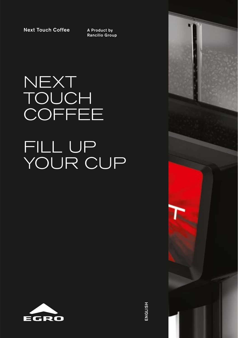Next Touch Coffee

A Product by Rancilio Group

# NEXT **TOUCH COFFEE** FILL UP YOUR CUP





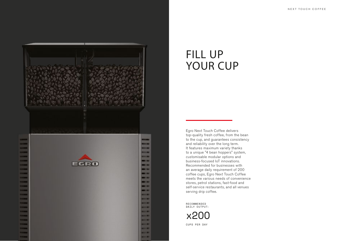

### FILL UP YOUR CUP

Egro Next Touch Coffee delivers top-quality fresh coffee, from the bean to the cup, and guarantees consistency and reliability over the long term. It features maximum variety thanks to a unique "4 bean hoppers" system, customisable modular options and business-focused IoT innovations. Recommended for businesses with an average daily requirement of 200 coffee cups, Egro Next Touch Coffee meets the various needs of convenience stores, petrol stations, fast-food and self-service restaurants, and all venues serving drip coffee.

**RECOMMENDED** DAILY OUTPUT:



CUPS PER DAY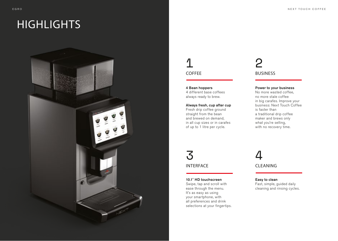### **HIGHLIGHTS**



### 1 COFFEE

4 Bean hoppers 4 different base coffees always ready to brew.

#### Always fresh, cup after cup

Fresh drip coffee ground straight from the bean and brewed on demand, in all cup sizes or in carafes of up to 1 litre per cycle.

### 2 BUSINESS

#### Power to your business

No more wasted coffee, no more stale coffee in big carafes. Improve your business: Next Touch Coffee is faster than a traditional drip coffee maker and brews only what you're selling, with no recovery time.

3 INTERFACE

#### 10.1" HD touchscreen

Swipe, tap and scroll with ease through the menu. It's as easy as using your smartphone, with all preferences and drink selections at your fingertips.

### 4 CLEANING

### Easy to clean

Fast, simple, guided daily cleaning and rinsing cycles.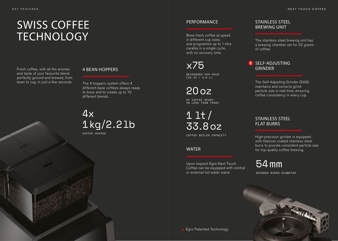# SWISS COFFEE TECHNOLOGY Brew fresh coffee at speed<br>in different cup sizes, The stainless steel brewing unit has

Fresh coffee, with all the aromas **4 BEAN HOPPERS** and taste of your favourite blend, perfectly ground and brewed, from bean to cup, in just a few seconds.

The 4 hoppers system offers 4 different base coffees always ready to brew and to create up to 10 different blends.

 $4x$ 1kg/2.2lb

COFFEE HOPPER

#### PERFORMANCE

Brew fresh coffee at speed in different cup sizes, and programme up to 1-litre carafes in a single cycle, with no recovery time.

x75 BEVERAGES PER HOUR (16 OZ / O.5 L)

2Ooz

OF COFFEE READY IN LESS THAN 7OSEC

1 lt/ 33.8oz

COFFEE BOILER CAPACITY

WATER

Upon request Egro Next Touch Coffee can be equipped with central or external hot water wand.

#### STAINLESS STEEL BREWING UNIT

a brewing chamber set for 22 grams of coffee.

#### E SELF-ADJUSTING GRINDER

The Self-Adjusting Grinder (SAG) maintains and corrects grind particle size in real time, ensuring coffee consistency in every cup.

#### STAINLESS STEEL FLAT BURRS

High-precision grinder is equipped with titanium coated stainless steel burrs to provide consistent particle size for top-quality coffee brewing.

54mm

GRINDER BURRS DIAMETER

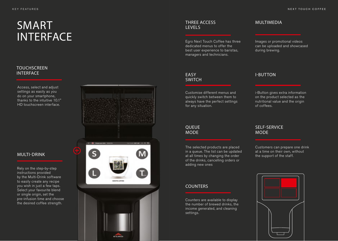# SMART INTERFACE

#### **TOUCHSCREEN** INTERFACE

Access, select and adjust settings as easily as you do on your smartphone, thanks to the intuitive 10.1" HD touchscreen interface.

### MULTI-DRINK

Rely on the step-by-step instructions provided by the Multi-Drink software to easily create any recipe you wish in just a few taps. Select your favourite blend or single origin, set the pre-infusion time and choose the desired coffee strength.



#### THREE ACCESS LEVELS

Egro Next Touch Coffee has three dedicated menus to offer the best user experience to baristas, managers and technicians.

#### EASY **SWITCH**

Customise different menus and quickly switch between them to always have the perfect settings for any situation.

#### **OUEUE** MODE

The selected products are placed in a queue. The list can be updated at all times by changing the order of the drinks, cancelling orders or adding new ones

#### **COUNTERS**

Counters are available to display the number of brewed drinks, the income generated, and cleaning settings.

#### MULTIMEDIA

Images or promotional videos can be uploaded and showcased during brewing.

#### I-BUTTON

i-Button gives extra information on the product selected as the nutritional value and the origin of coffees.

#### SELF-SERVICE MODE

Customers can prepare one drink at a time on their own, without the support of the staff.

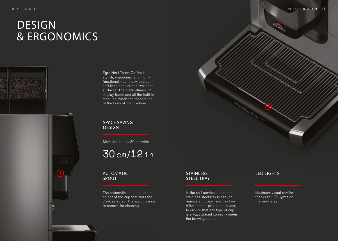## DESIGN & ERGONOMICS



Egro Next Touch Coffee is a stylish, ergonomic, and highly functional machine, with clean, soft lines and scratch-resistant surfaces. The black aluminium display frame and all the built-in modules match the modern look of the body of the machine.

SPACE SAVING **DESIGN** 

Main unit is only 30 cm wide.

### 3Ocm/12in

#### AUTOMATIC SPOUT

The automatic spout adjusts the height of the cup that suits the drink selected. The spout is easy to remove for cleaning.

#### **STAINLESS** STEEL TRAY

In the self-service setup, the stainless steel tray is easy to remove and clean and has two different cup-placing positions, to ensure that any type of cup is always placed correctly under the brewing spout.

#### LED LIGHTS

Maximum visual comfort thanks to LED lights on the work area.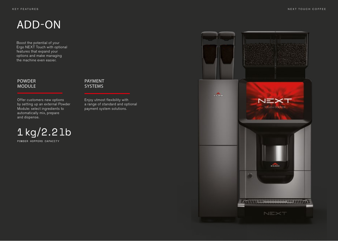## ADD-ON

Boost the potential of your Ergo NEXT Touch with optional features that expand your options and make managing the machine even easier.

#### POWDER MODULE

Offer customers new options by setting up an external Powder Module: select ingredients to automatically mix, prepare and dispense.

#### PAYMENT SYSTEMS

Enjoy utmost flexibility with a range of standard and optional payment system solutions.



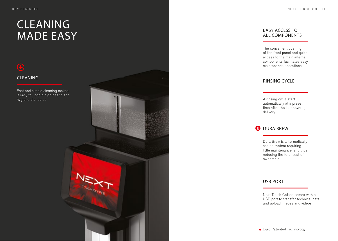### CLEANING MADE EASY

Fast and simple cleaning makes it easy to uphold high health and<br>hygiene standards.



#### EASY ACCESS TO ALL COMPONENTS

The convenient opening of the front panel and quick access to the main internal components facilitates easy maintenance operations.

automatically at a preset time after the last beverage delivery.

#### **DURA BREW**

Dura Brew is a hermetically sealed system requiring little maintenance, and thus reducing the total cost of ownership.

#### USB PORT

Next Touch Coffee comes with a USB port to transfer technical data and upload images and videos.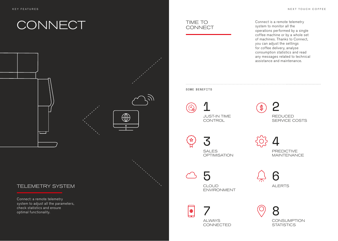# **CONNECT**



 $\bigoplus$ 

### TELEMETRY SYSTEM

Connect: a remote telemetry system to adjust all the parameters, check statistics and ensure optimal functionality.



Connect is a remote telemetry system to monitor all the operations performed by a single coffee machine or by a whole set of machines. Thanks to Connect, you can adjust the settings for coffee delivery, analyse consumption statistics and read any messages related to technical assistance and maintenance.

#### SOME BENEFITS



JUST-IN TIME **CONTROL** 



3 SALES **OPTIMISATION** 

4 PREDICTIVE MAINTENANCE

5

CLOUD ENVIRONMENT

6 ALERTS

7  $\bigoplus$ ALWAYS **CONNECTED** 

8 **CONSUMPTION STATISTICS**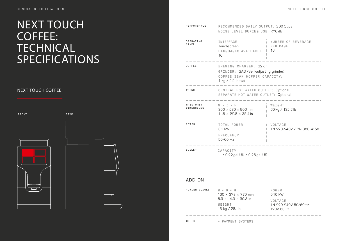### NEXT TOUCH COFFEE: **TECHNICAL** SPECIFICATIONS

### **NEXT TOUCH COFFEE**

FRONT SIDE





| PERFORMANCE             | RECOMMENDED DAILY OUTPUT: 200 Cups<br>NOISE LEVEL DURING USE: <70 db                                                 |                                      |
|-------------------------|----------------------------------------------------------------------------------------------------------------------|--------------------------------------|
| OPERATING<br>PANEL      | INTERFACE<br>Touchscreen<br>LANGUAGES AVAILABLE<br>10                                                                | NUMBER OF BEVERAGE<br>PER PAGE<br>16 |
| COFFEE                  | BREWING CHAMBER: 22 gr<br>GRINDER: SAG (Self-adjusting grinder)<br>COFFEE BEAN HOPPER CAPACITY:<br>1 kg / 2.2 lb cad |                                      |
| WATER                   | CENTRAL HOT WATER OUTLET: Optional<br>SEPARATE HOT WATER OUTLET: Optional                                            |                                      |
| MAIN UNIT<br>DIMENSIONS | $W \times D \times H$<br>$300 \times 580 \times 900$ mm<br>$11.8 \times 22.8 \times 35.4$ in                         | WEIGHT<br>60 kg / 132.2 lb           |
| POWER                   | TOTAL POWER<br>3.1 kW<br>FREQUENCY<br>50-60 Hz                                                                       | VOLTAGE<br>1N 220-240V / 2N 380-415V |
| <b>BOILER</b>           | CAPACITY<br>11 / 0.22 gal UK / 0.26 gal US                                                                           |                                      |

#### ADD-ON

| POWDER MODULE |                          | $W \times D \times H$<br>$160 \times 378 \times 770$ mm | POWER<br>$0.10$ kW                          |
|---------------|--------------------------|---------------------------------------------------------|---------------------------------------------|
|               | WFTGHT<br>13 kg / 28.1lb | $6.3 \times 14.9 \times 30.3$ in                        | VOLTAGE<br>1N 220-240V 50/60Hz<br>120V 60Hz |
|               |                          |                                                         |                                             |

OTHER + PAYMENT SYSTEMS